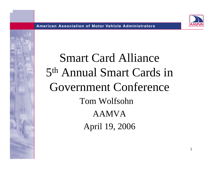

1

# Smart Card Alliance 5th Annual Smart Cards in Government Conference Tom WolfsohnAAMVAApril 19, 2006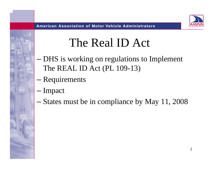# The Real ID Act

- and the state of the state DHS is working on regulations to Implement The REAL ID Act (PL 109-13)
- and the state of the state Requirements
- and the state of the state — Impact
- –States must be in compliance by May 11, 2008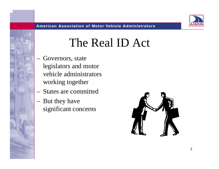### The Real ID Act

- Governors, state legislators and motor vehicle administrators working together
- States are committed
- But they have significant concerns

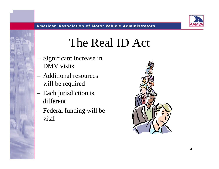### The Real ID Act

- Significant increase in DMV visits
- Additional resources will be required
- Each jurisdiction is different
- Federal funding will be vital

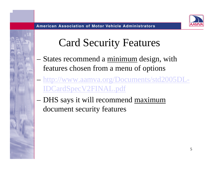#### Card Security Features

- States recommend a <u>minimum</u> design, with features chosen from a menu of options
- – http://www.aamva.org/Documents/std2005DL-IDCardSpecV2FINAL.pdf
- DHS says it will recommend maximum document security features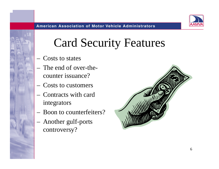# Card Security Features

- Costs to states
- The end of over-thecounter issuance?
- Costs to customers
- Contracts with card integrators
- Boon to counterfeiters?
- Another gulf-ports controversy?

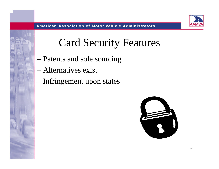#### Card Security Features

- –Patents and sole sourcing
- Alternatives exist
- –Infringement upon states

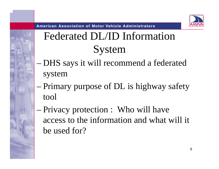

**American Association of Motor Vehicle Administrators** 

### Federated DL/ID Information System

- – DHS says it will recommend a federated system
- Primary purpose of DL is highway safety tool
- Privacy protection : Who will have access to the information and what will it be used for?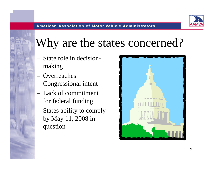# Why are the states concerned?

- State role in decisionmaking
- **Overreaches** Congressional intent
- Lack of commitment for federal funding
- States ability to comply by May 11, 2008 in question

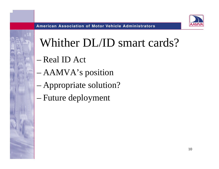# Whither DL/ID smart cards?

- Real ID Act
- AAMVA's position
- Appropriate solution?
- –Future deployment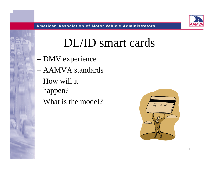### DL/ID smart cards

- –DMV experience
- AAMVA standards
- How will it happen?
- What is the model?